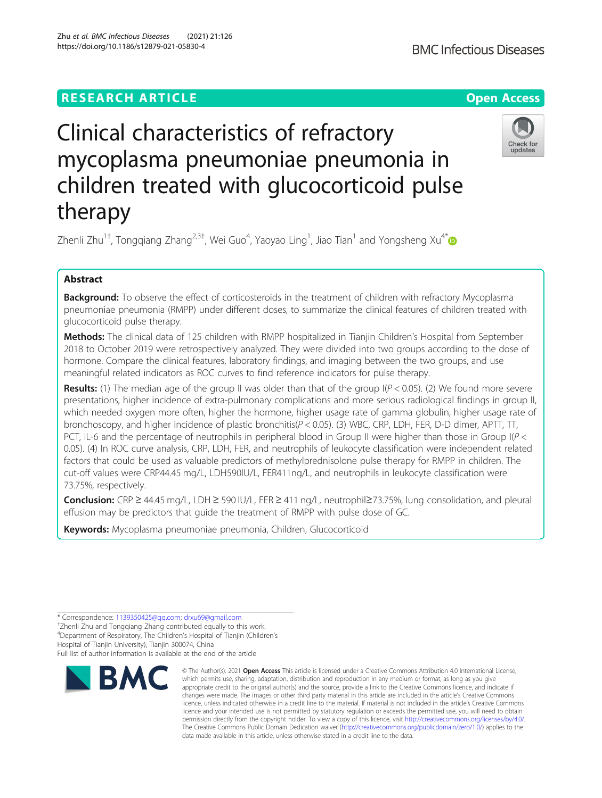# **RESEARCH ARTICLE Example 2014 12:30 The Contract of Contract ACCESS**

# Clinical characteristics of refractory mycoplasma pneumoniae pneumonia in children treated with glucocorticoid pulse therapy

Zhenli Zhu $^{\rm 1+}$ , Tongqiang Zhang $^{\rm 2,3+}$ , Wei Guo $^{\rm 4}$ , Yaoyao Ling $^{\rm 1}$ , Jiao Tian $^{\rm 1}$  and Yongsheng Xu $^{\rm 4^*}$  $^{\rm 4^*}$  $^{\rm 4^*}$ 

# Abstract

Background: To observe the effect of corticosteroids in the treatment of children with refractory Mycoplasma pneumoniae pneumonia (RMPP) under different doses, to summarize the clinical features of children treated with glucocorticoid pulse therapy.

Methods: The clinical data of 125 children with RMPP hospitalized in Tianjin Children's Hospital from September 2018 to October 2019 were retrospectively analyzed. They were divided into two groups according to the dose of hormone. Compare the clinical features, laboratory findings, and imaging between the two groups, and use meaningful related indicators as ROC curves to find reference indicators for pulse therapy.

**Results:** (1) The median age of the group II was older than that of the group  $I(P < 0.05)$ . (2) We found more severe presentations, higher incidence of extra-pulmonary complications and more serious radiological findings in group II, which needed oxygen more often, higher the hormone, higher usage rate of gamma globulin, higher usage rate of bronchoscopy, and higher incidence of plastic bronchitis(P < 0.05). (3) WBC, CRP, LDH, FER, D-D dimer, APTT, TT, PCT, IL-6 and the percentage of neutrophils in peripheral blood in Group II were higher than those in Group I(P < 0.05). (4) In ROC curve analysis, CRP, LDH, FER, and neutrophils of leukocyte classification were independent related factors that could be used as valuable predictors of methylprednisolone pulse therapy for RMPP in children. The cut-off values were CRP44.45 mg/L, LDH590IU/L, FER411ng/L, and neutrophils in leukocyte classification were 73.75%, respectively.

Conclusion: CRP ≥ 44.45 mg/L, LDH ≥ 590 IU/L, FER ≥ 411 ng/L, neutrophil≥73.75%, lung consolidation, and pleural effusion may be predictors that guide the treatment of RMPP with pulse dose of GC.

Keywords: Mycoplasma pneumoniae pneumonia, Children, Glucocorticoid

<sup>+</sup>Zhenli Zhu and Tongqiang Zhang contributed equally to this work. 4 Department of Respiratory, The Children's Hospital of Tianjin (Children's Hospital of Tianjin University), Tianjin 300074, China

Full list of author information is available at the end of the article

**RMC** 



© The Author(s), 2021 **Open Access** This article is licensed under a Creative Commons Attribution 4.0 International License, which permits use, sharing, adaptation, distribution and reproduction in any medium or format, as long as you give







<sup>\*</sup> Correspondence: [1139350425@qq.com;](mailto:1139350425@qq.com) [drxu69@gmail.com](mailto:drxu69@gmail.com) †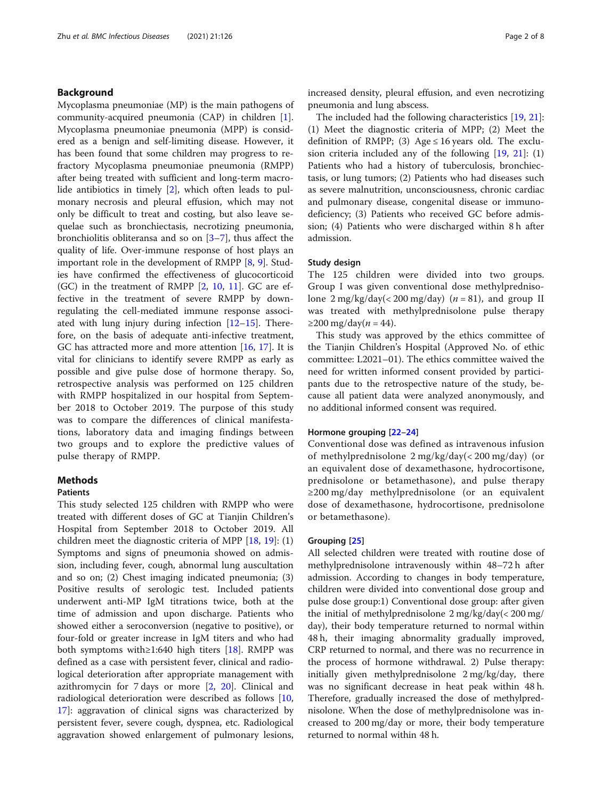# Background

Mycoplasma pneumoniae (MP) is the main pathogens of community-acquired pneumonia (CAP) in children [\[1](#page-6-0)]. Mycoplasma pneumoniae pneumonia (MPP) is considered as a benign and self-limiting disease. However, it has been found that some children may progress to refractory Mycoplasma pneumoniae pneumonia (RMPP) after being treated with sufficient and long-term macrolide antibiotics in timely [[2\]](#page-6-0), which often leads to pulmonary necrosis and pleural effusion, which may not only be difficult to treat and costing, but also leave sequelae such as bronchiectasis, necrotizing pneumonia, bronchiolitis obliteransa and so on [[3](#page-6-0)–[7\]](#page-6-0), thus affect the quality of life. Over-immune response of host plays an important role in the development of RMPP [[8,](#page-6-0) [9\]](#page-6-0). Studies have confirmed the effectiveness of glucocorticoid (GC) in the treatment of RMPP [\[2](#page-6-0), [10](#page-6-0), [11](#page-6-0)]. GC are effective in the treatment of severe RMPP by downregulating the cell-mediated immune response associated with lung injury during infection  $[12-15]$  $[12-15]$  $[12-15]$ . Therefore, on the basis of adequate anti-infective treatment, GC has attracted more and more attention [[16,](#page-6-0) [17\]](#page-6-0). It is vital for clinicians to identify severe RMPP as early as possible and give pulse dose of hormone therapy. So, retrospective analysis was performed on 125 children with RMPP hospitalized in our hospital from September 2018 to October 2019. The purpose of this study was to compare the differences of clinical manifestations, laboratory data and imaging findings between two groups and to explore the predictive values of pulse therapy of RMPP.

# **Methods**

# Patients

This study selected 125 children with RMPP who were treated with different doses of GC at Tianjin Children's Hospital from September 2018 to October 2019. All children meet the diagnostic criteria of MPP [\[18,](#page-6-0) [19\]](#page-6-0): (1) Symptoms and signs of pneumonia showed on admission, including fever, cough, abnormal lung auscultation and so on; (2) Chest imaging indicated pneumonia; (3) Positive results of serologic test. Included patients underwent anti-MP IgM titrations twice, both at the time of admission and upon discharge. Patients who showed either a seroconversion (negative to positive), or four-fold or greater increase in IgM titers and who had both symptoms with≥1:640 high titers  $[18]$  $[18]$  $[18]$ . RMPP was defined as a case with persistent fever, clinical and radiological deterioration after appropriate management with azithromycin for 7 days or more [\[2](#page-6-0), [20](#page-6-0)]. Clinical and radiological deterioration were described as follows [[10](#page-6-0), [17\]](#page-6-0): aggravation of clinical signs was characterized by persistent fever, severe cough, dyspnea, etc. Radiological aggravation showed enlargement of pulmonary lesions, increased density, pleural effusion, and even necrotizing pneumonia and lung abscess.

The included had the following characteristics [[19](#page-6-0), [21](#page-7-0)]: (1) Meet the diagnostic criteria of MPP; (2) Meet the definition of RMPP; (3) Age  $\leq$  16 years old. The exclusion criteria included any of the following [[19](#page-6-0), [21\]](#page-7-0): (1) Patients who had a history of tuberculosis, bronchiectasis, or lung tumors; (2) Patients who had diseases such as severe malnutrition, unconsciousness, chronic cardiac and pulmonary disease, congenital disease or immunodeficiency; (3) Patients who received GC before admission; (4) Patients who were discharged within 8 h after admission.

## Study design

The 125 children were divided into two groups. Group I was given conventional dose methylprednisolone  $2 \text{ mg/kg/day}$ (< 200 mg/day) (*n* = 81), and group II was treated with methylprednisolone pulse therapy  $≥200$  mg/day(*n* = 44).

This study was approved by the ethics committee of the Tianjin Children's Hospital (Approved No. of ethic committee: L2021–01). The ethics committee waived the need for written informed consent provided by participants due to the retrospective nature of the study, because all patient data were analyzed anonymously, and no additional informed consent was required.

# Hormone grouping [\[22](#page-7-0)–[24\]](#page-7-0)

Conventional dose was defined as intravenous infusion of methylprednisolone 2 mg/kg/day(< 200 mg/day) (or an equivalent dose of dexamethasone, hydrocortisone, prednisolone or betamethasone), and pulse therapy ≥200 mg/day methylprednisolone (or an equivalent dose of dexamethasone, hydrocortisone, prednisolone or betamethasone).

#### Grouping [[25\]](#page-7-0)

All selected children were treated with routine dose of methylprednisolone intravenously within 48–72 h after admission. According to changes in body temperature, children were divided into conventional dose group and pulse dose group:1) Conventional dose group: after given the initial of methylprednisolone 2 mg/kg/day(< 200 mg/ day), their body temperature returned to normal within 48 h, their imaging abnormality gradually improved, CRP returned to normal, and there was no recurrence in the process of hormone withdrawal. 2) Pulse therapy: initially given methylprednisolone 2 mg/kg/day, there was no significant decrease in heat peak within 48 h. Therefore, gradually increased the dose of methylprednisolone. When the dose of methylprednisolone was increased to 200 mg/day or more, their body temperature returned to normal within 48 h.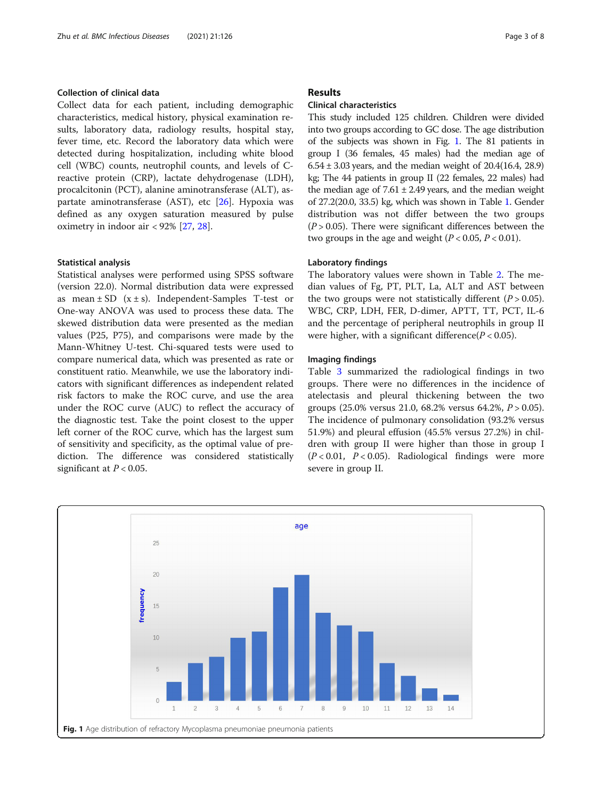# Collection of clinical data

Collect data for each patient, including demographic characteristics, medical history, physical examination results, laboratory data, radiology results, hospital stay, fever time, etc. Record the laboratory data which were detected during hospitalization, including white blood cell (WBC) counts, neutrophil counts, and levels of Creactive protein (CRP), lactate dehydrogenase (LDH), procalcitonin (PCT), alanine aminotransferase (ALT), as-partate aminotransferase (AST), etc [[26](#page-7-0)]. Hypoxia was defined as any oxygen saturation measured by pulse oximetry in indoor air < 92% [[27](#page-7-0), [28](#page-7-0)].

#### Statistical analysis

Statistical analyses were performed using SPSS software (version 22.0). Normal distribution data were expressed as mean  $\pm$  SD ( $x \pm s$ ). Independent-Samples T-test or One-way ANOVA was used to process these data. The skewed distribution data were presented as the median values (P25, P75), and comparisons were made by the Mann-Whitney U-test. Chi-squared tests were used to compare numerical data, which was presented as rate or constituent ratio. Meanwhile, we use the laboratory indicators with significant differences as independent related risk factors to make the ROC curve, and use the area under the ROC curve (AUC) to reflect the accuracy of the diagnostic test. Take the point closest to the upper left corner of the ROC curve, which has the largest sum of sensitivity and specificity, as the optimal value of prediction. The difference was considered statistically significant at  $P < 0.05$ .

# Results

# Clinical characteristics

This study included 125 children. Children were divided into two groups according to GC dose. The age distribution of the subjects was shown in Fig. 1. The 81 patients in group I (36 females, 45 males) had the median age of  $6.54 \pm 3.03$  years, and the median weight of 20.4(16.4, 28.9) kg; The 44 patients in group II (22 females, 22 males) had the median age of  $7.61 \pm 2.49$  years, and the median weight of 27.2(20.0, 33.5) kg, which was shown in Table [1](#page-3-0). Gender distribution was not differ between the two groups  $(P > 0.05)$ . There were significant differences between the two groups in the age and weight ( $P < 0.05$ ,  $P < 0.01$ ).

# Laboratory findings

The laboratory values were shown in Table [2](#page-3-0). The median values of Fg, PT, PLT, La, ALT and AST between the two groups were not statistically different  $(P > 0.05)$ . WBC, CRP, LDH, FER, D-dimer, APTT, TT, PCT, IL-6 and the percentage of peripheral neutrophils in group II were higher, with a significant difference( $P < 0.05$ ).

#### Imaging findings

Table [3](#page-3-0) summarized the radiological findings in two groups. There were no differences in the incidence of atelectasis and pleural thickening between the two groups (25.0% versus 21.0, 68.2% versus 64.2%, P > 0.05). The incidence of pulmonary consolidation (93.2% versus 51.9%) and pleural effusion (45.5% versus 27.2%) in children with group II were higher than those in group I  $(P < 0.01, P < 0.05)$ . Radiological findings were more severe in group II.

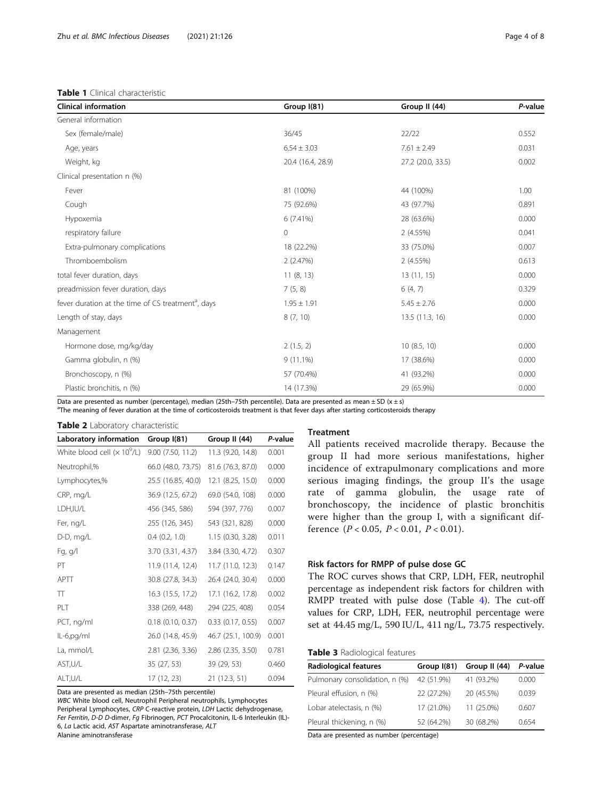# <span id="page-3-0"></span>Table 1 Clinical characteristic

| <b>Clinical information</b>                                    | Group I(81)                        | Group II (44)     | P-value |
|----------------------------------------------------------------|------------------------------------|-------------------|---------|
| General information                                            |                                    |                   |         |
| Sex (female/male)                                              | 36/45                              | 22/22             | 0.552   |
| Age, years                                                     | $6.54 \pm 3.03$                    | $7.61 \pm 2.49$   | 0.031   |
| Weight, kg                                                     | 20.4 (16.4, 28.9)                  | 27.2 (20.0, 33.5) | 0.002   |
| Clinical presentation n (%)                                    |                                    |                   |         |
| Fever                                                          | 81 (100%)                          | 44 (100%)         | 1.00    |
| Cough                                                          | 75 (92.6%)                         | 43 (97.7%)        | 0.891   |
| Hypoxemia                                                      | 6(7.41%)                           | 28 (63.6%)        | 0.000   |
| respiratory failure                                            | 0                                  | 2(4.55%)          | 0.041   |
| Extra-pulmonary complications                                  | 18 (22.2%)                         | 33 (75.0%)        | 0.007   |
| Thromboembolism                                                | 2(2.47%)                           | 2(4.55%)          | 0.613   |
| total fever duration, days                                     | 11(8, 13)                          | 13(11, 15)        | 0.000   |
| preadmission fever duration, days                              | 7(5, 8)                            | 6(4, 7)           | 0.329   |
| fever duration at the time of CS treatment <sup>a</sup> , days | $1.95 \pm 1.91$<br>$5.45 \pm 2.76$ |                   | 0.000   |
| Length of stay, days                                           | 8(7, 10)                           | 13.5 (11.3, 16)   | 0.000   |
| Management                                                     |                                    |                   |         |
| Hormone dose, mg/kg/day                                        | 2(1.5, 2)                          | 10(8.5, 10)       | 0.000   |
| Gamma globulin, n (%)                                          | $9(11.1\%)$                        | 17 (38.6%)        | 0.000   |
| Bronchoscopy, n (%)                                            | 57 (70.4%)                         | 41 (93.2%)        | 0.000   |
| Plastic bronchitis, n (%)                                      | 14 (17.3%)                         | 29 (65.9%)        | 0.000   |

Data are presented as number (percentage), median (25th–75th percentile). Data are presented as mean  $\pm$  SD (x  $\pm$  s)

<sup>a</sup>The meaning of fever duration at the time of corticosteroids treatment is that fever days after starting corticosteroids therapy

| Table 2 Laboratory characteristic |  |
|-----------------------------------|--|
|-----------------------------------|--|

| $=$ $=$ $\frac{1}{2}$ $\frac{1}{2}$ $\frac{1}{2}$ $\frac{1}{2}$ $\frac{1}{2}$ $\frac{1}{2}$ $\frac{1}{2}$ $\frac{1}{2}$ $\frac{1}{2}$ $\frac{1}{2}$ $\frac{1}{2}$ $\frac{1}{2}$ $\frac{1}{2}$ $\frac{1}{2}$ $\frac{1}{2}$ $\frac{1}{2}$ $\frac{1}{2}$ $\frac{1}{2}$ $\frac{1}{2}$ $\frac{1}{2}$ $\frac{1}{2}$ $\frac$ |                     |                       |         |  |  |
|-----------------------------------------------------------------------------------------------------------------------------------------------------------------------------------------------------------------------------------------------------------------------------------------------------------------------|---------------------|-----------------------|---------|--|--|
| Laboratory information                                                                                                                                                                                                                                                                                                | Group $I(81)$       | Group II (44)         | P-value |  |  |
| White blood cell $(x 10^9/L)$                                                                                                                                                                                                                                                                                         | 9.00(7.50, 11.2)    | 11.3 (9.20, 14.8)     | 0.001   |  |  |
| Neutrophil,%                                                                                                                                                                                                                                                                                                          | 66.0 (48.0, 73.75)  | 81.6 (76.3, 87.0)     | 0.000   |  |  |
| Lymphocytes,%                                                                                                                                                                                                                                                                                                         | 25.5 (16.85, 40.0)  | 12.1 (8.25, 15.0)     | 0.000   |  |  |
| CRP, mg/L                                                                                                                                                                                                                                                                                                             | 36.9 (12.5, 67.2)   | 69.0 (54.0, 108)      | 0.000   |  |  |
| LDH,IU/L                                                                                                                                                                                                                                                                                                              | 456 (345, 586)      | 594 (397, 776)        | 0.007   |  |  |
| Fer, ng/L                                                                                                                                                                                                                                                                                                             | 255 (126, 345)      | 543 (321, 828)        | 0.000   |  |  |
| D-D, mg/L                                                                                                                                                                                                                                                                                                             | $0.4$ $(0.2, 1.0)$  | 1.15 (0.30, 3.28)     | 0.011   |  |  |
| Fg, g/l                                                                                                                                                                                                                                                                                                               | 3.70 (3.31, 4.37)   | 3.84 (3.30, 4.72)     | 0.307   |  |  |
| PT                                                                                                                                                                                                                                                                                                                    | 11.9 (11.4, 12.4)   | 11.7 (11.0, 12.3)     | 0.147   |  |  |
| <b>APTT</b>                                                                                                                                                                                                                                                                                                           | 30.8 (27.8, 34.3)   | 26.4 (24.0, 30.4)     | 0.000   |  |  |
| $\top$                                                                                                                                                                                                                                                                                                                | 16.3 (15.5, 17.2)   | 17.1 (16.2, 17.8)     | 0.002   |  |  |
| PLT                                                                                                                                                                                                                                                                                                                   | 338 (269, 448)      | 294 (225, 408)        | 0.054   |  |  |
| PCT, ng/ml                                                                                                                                                                                                                                                                                                            | $0.18$ (0.10, 0.37) | $0.33$ $(0.17, 0.55)$ | 0.007   |  |  |
| IL-6,pg/ml                                                                                                                                                                                                                                                                                                            | 26.0 (14.8, 45.9)   | 46.7 (25.1, 100.9)    | 0.001   |  |  |
| La, mmol/L                                                                                                                                                                                                                                                                                                            | 2.81 (2.36, 3.36)   | 2.86 (2.35, 3.50)     | 0.781   |  |  |
| AST,U/L                                                                                                                                                                                                                                                                                                               | 35 (27, 53)         | 39 (29, 53)           | 0.460   |  |  |
| ALT,U/L                                                                                                                                                                                                                                                                                                               | 17 (12, 23)         | 21(12.3, 51)          | 0.094   |  |  |

Data are presented as median (25th–75th percentile)

WBC White blood cell, Neutrophil Peripheral neutrophils, Lymphocytes Peripheral Lymphocytes, CRP C-reactive protein, LDH Lactic dehydrogenase, Fer Ferritin, D-D D-dimer, Fg Fibrinogen, PCT Procalcitonin, IL-6 Interleukin (IL)- 6, La Lactic acid, AST Aspartate aminotransferase, ALT Alanine aminotransferase

# **Treatment**

All patients received macrolide therapy. Because the group II had more serious manifestations, higher incidence of extrapulmonary complications and more serious imaging findings, the group II's the usage rate of gamma globulin, the usage rate of bronchoscopy, the incidence of plastic bronchitis were higher than the group I, with a significant difference  $(P < 0.05, P < 0.01, P < 0.01)$ .

# Risk factors for RMPP of pulse dose GC

The ROC curves shows that CRP, LDH, FER, neutrophil percentage as independent risk factors for children with RMPP treated with pulse dose (Table [4](#page-4-0)). The cut-off values for CRP, LDH, FER, neutrophil percentage were set at 44.45 mg/L, 590 IU/L, 411 ng/L, 73.75 respectively.

# Table 3 Radiological features

| <b>Radiological features</b>   | Group I(81) | Group II (44) | P-value |
|--------------------------------|-------------|---------------|---------|
| Pulmonary consolidation, n (%) | 42 (51.9%)  | 41 (93.2%)    | 0.000   |
| Pleural effusion, n (%)        | 22 (27.2%)  | 20 (45.5%)    | 0.039   |
| Lobar atelectasis, n (%)       | 17 (21.0%)  | 11 (25.0%)    | 0.607   |
| Pleural thickening, n (%)      | 52 (64.2%)  | 30 (68.2%)    | 0654    |

Data are presented as number (percentage)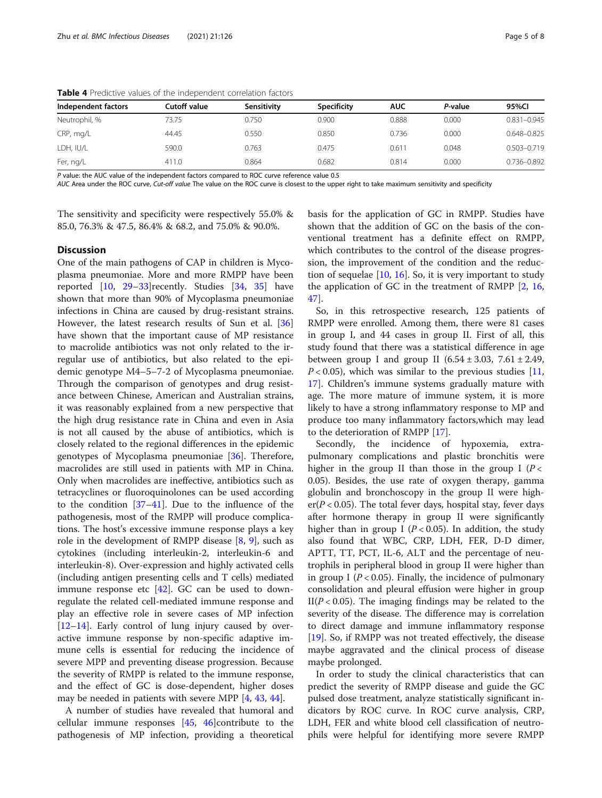| Independent factors | Cutoff value | Sensitivity | <b>Specificity</b> | <b>AUC</b> | P-value | 95%CI           |
|---------------------|--------------|-------------|--------------------|------------|---------|-----------------|
| Neutrophil, %       | 73.75        | 0.750       | 0.900              | 0.888      | 0.000   | $0.831 - 0.945$ |
| CRP, mg/L           | 44.45        | 0.550       | 0.850              | 0.736      | 0.000   | 0.648-0.825     |
| LDH, IU/L           | 590.0        | 0.763       | 0.475              | 0.611      | 0.048   | 0.503-0.719     |
| Fer, ng/L           | 411.0        | 0.864       | 0.682              | 0.814      | 0.000   | 0.736-0.892     |

<span id="page-4-0"></span>Table 4 Predictive values of the independent correlation factors

P value: the AUC value of the independent factors compared to ROC curve reference value 0.5

AUC Area under the ROC curve, Cut-off value The value on the ROC curve is closest to the upper right to take maximum sensitivity and specificity

The sensitivity and specificity were respectively 55.0% & 85.0, 76.3% & 47.5, 86.4% & 68.2, and 75.0% & 90.0%.

#### **Discussion**

One of the main pathogens of CAP in children is Mycoplasma pneumoniae. More and more RMPP have been reported  $[10, 29-33]$  $[10, 29-33]$  $[10, 29-33]$  $[10, 29-33]$  $[10, 29-33]$  $[10, 29-33]$  recently. Studies  $[34, 35]$  $[34, 35]$  $[34, 35]$  $[34, 35]$  have shown that more than 90% of Mycoplasma pneumoniae infections in China are caused by drug-resistant strains. However, the latest research results of Sun et al. [[36](#page-7-0)] have shown that the important cause of MP resistance to macrolide antibiotics was not only related to the irregular use of antibiotics, but also related to the epidemic genotype M4–5–7-2 of Mycoplasma pneumoniae. Through the comparison of genotypes and drug resistance between Chinese, American and Australian strains, it was reasonably explained from a new perspective that the high drug resistance rate in China and even in Asia is not all caused by the abuse of antibiotics, which is closely related to the regional differences in the epidemic genotypes of Mycoplasma pneumoniae [\[36](#page-7-0)]. Therefore, macrolides are still used in patients with MP in China. Only when macrolides are ineffective, antibiotics such as tetracyclines or fluoroquinolones can be used according to the condition  $[37-41]$  $[37-41]$  $[37-41]$  $[37-41]$ . Due to the influence of the pathogenesis, most of the RMPP will produce complications. The host's excessive immune response plays a key role in the development of RMPP disease  $[8, 9]$  $[8, 9]$  $[8, 9]$  $[8, 9]$  $[8, 9]$ , such as cytokines (including interleukin-2, interleukin-6 and interleukin-8). Over-expression and highly activated cells (including antigen presenting cells and T cells) mediated immune response etc [[42\]](#page-7-0). GC can be used to downregulate the related cell-mediated immune response and play an effective role in severe cases of MP infection [[12](#page-6-0)–[14](#page-6-0)]. Early control of lung injury caused by overactive immune response by non-specific adaptive immune cells is essential for reducing the incidence of severe MPP and preventing disease progression. Because the severity of RMPP is related to the immune response, and the effect of GC is dose-dependent, higher doses may be needed in patients with severe MPP [\[4](#page-6-0), [43,](#page-7-0) [44\]](#page-7-0).

A number of studies have revealed that humoral and cellular immune responses  $[45, 46]$  $[45, 46]$  $[45, 46]$  $[45, 46]$ contribute to the pathogenesis of MP infection, providing a theoretical basis for the application of GC in RMPP. Studies have shown that the addition of GC on the basis of the conventional treatment has a definite effect on RMPP, which contributes to the control of the disease progression, the improvement of the condition and the reduction of sequelae [\[10](#page-6-0), [16](#page-6-0)]. So, it is very important to study the application of GC in the treatment of RMPP [[2,](#page-6-0) [16](#page-6-0), [47\]](#page-7-0).

So, in this retrospective research, 125 patients of RMPP were enrolled. Among them, there were 81 cases in group I, and 44 cases in group II. First of all, this study found that there was a statistical difference in age between group I and group II  $(6.54 \pm 3.03, 7.61 \pm 2.49,$  $P < 0.05$ ), which was similar to the previous studies [[11](#page-6-0), [17\]](#page-6-0). Children's immune systems gradually mature with age. The more mature of immune system, it is more likely to have a strong inflammatory response to MP and produce too many inflammatory factors,which may lead to the deterioration of RMPP [[17\]](#page-6-0).

Secondly, the incidence of hypoxemia, extrapulmonary complications and plastic bronchitis were higher in the group II than those in the group I ( $P <$ 0.05). Besides, the use rate of oxygen therapy, gamma globulin and bronchoscopy in the group II were high $er(P < 0.05)$ . The total fever days, hospital stay, fever days after hormone therapy in group II were significantly higher than in group I ( $P < 0.05$ ). In addition, the study also found that WBC, CRP, LDH, FER, D-D dimer, APTT, TT, PCT, IL-6, ALT and the percentage of neutrophils in peripheral blood in group II were higher than in group I ( $P < 0.05$ ). Finally, the incidence of pulmonary consolidation and pleural effusion were higher in group  $II(P<0.05)$ . The imaging findings may be related to the severity of the disease. The difference may is correlation to direct damage and immune inflammatory response [[19\]](#page-6-0). So, if RMPP was not treated effectively, the disease maybe aggravated and the clinical process of disease maybe prolonged.

In order to study the clinical characteristics that can predict the severity of RMPP disease and guide the GC pulsed dose treatment, analyze statistically significant indicators by ROC curve. In ROC curve analysis, CRP, LDH, FER and white blood cell classification of neutrophils were helpful for identifying more severe RMPP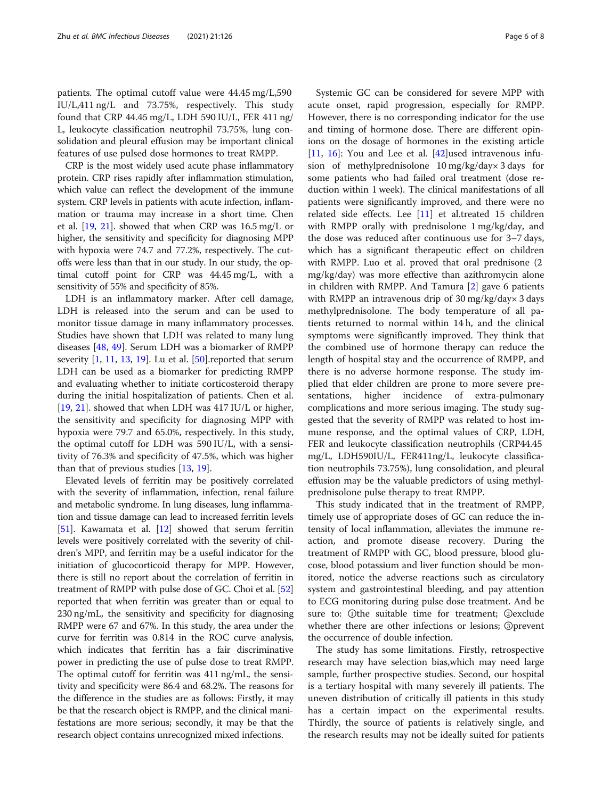patients. The optimal cutoff value were 44.45 mg/L,590 IU/L,411 ng/L and 73.75%, respectively. This study found that CRP 44.45 mg/L, LDH 590 IU/L, FER 411 ng/ L, leukocyte classification neutrophil 73.75%, lung consolidation and pleural effusion may be important clinical features of use pulsed dose hormones to treat RMPP.

CRP is the most widely used acute phase inflammatory protein. CRP rises rapidly after inflammation stimulation, which value can reflect the development of the immune system. CRP levels in patients with acute infection, inflammation or trauma may increase in a short time. Chen et al. [[19](#page-6-0), [21](#page-7-0)]. showed that when CRP was 16.5 mg/L or higher, the sensitivity and specificity for diagnosing MPP with hypoxia were 74.7 and 77.2%, respectively. The cutoffs were less than that in our study. In our study, the optimal cutoff point for CRP was 44.45 mg/L, with a sensitivity of 55% and specificity of 85%.

LDH is an inflammatory marker. After cell damage, LDH is released into the serum and can be used to monitor tissue damage in many inflammatory processes. Studies have shown that LDH was related to many lung diseases [\[48](#page-7-0), [49](#page-7-0)]. Serum LDH was a biomarker of RMPP severity  $[1, 11, 13, 19]$  $[1, 11, 13, 19]$  $[1, 11, 13, 19]$  $[1, 11, 13, 19]$  $[1, 11, 13, 19]$  $[1, 11, 13, 19]$  $[1, 11, 13, 19]$  $[1, 11, 13, 19]$  $[1, 11, 13, 19]$ . Lu et al.  $[50]$  $[50]$ .reported that serum LDH can be used as a biomarker for predicting RMPP and evaluating whether to initiate corticosteroid therapy during the initial hospitalization of patients. Chen et al. [[19,](#page-6-0) [21\]](#page-7-0). showed that when LDH was 417 IU/L or higher, the sensitivity and specificity for diagnosing MPP with hypoxia were 79.7 and 65.0%, respectively. In this study, the optimal cutoff for LDH was 590 IU/L, with a sensitivity of 76.3% and specificity of 47.5%, which was higher than that of previous studies [[13,](#page-6-0) [19](#page-6-0)].

Elevated levels of ferritin may be positively correlated with the severity of inflammation, infection, renal failure and metabolic syndrome. In lung diseases, lung inflammation and tissue damage can lead to increased ferritin levels [[51](#page-7-0)]. Kawamata et al. [\[12](#page-6-0)] showed that serum ferritin levels were positively correlated with the severity of children's MPP, and ferritin may be a useful indicator for the initiation of glucocorticoid therapy for MPP. However, there is still no report about the correlation of ferritin in treatment of RMPP with pulse dose of GC. Choi et al. [[52](#page-7-0)] reported that when ferritin was greater than or equal to 230 ng/mL, the sensitivity and specificity for diagnosing RMPP were 67 and 67%. In this study, the area under the curve for ferritin was 0.814 in the ROC curve analysis, which indicates that ferritin has a fair discriminative power in predicting the use of pulse dose to treat RMPP. The optimal cutoff for ferritin was 411 ng/mL, the sensitivity and specificity were 86.4 and 68.2%. The reasons for the difference in the studies are as follows: Firstly, it may be that the research object is RMPP, and the clinical manifestations are more serious; secondly, it may be that the research object contains unrecognized mixed infections.

Systemic GC can be considered for severe MPP with acute onset, rapid progression, especially for RMPP. However, there is no corresponding indicator for the use and timing of hormone dose. There are different opinions on the dosage of hormones in the existing article [[11,](#page-6-0) [16\]](#page-6-0): You and Lee et al.  $[42]$  $[42]$ used intravenous infusion of methylprednisolone 10 mg/kg/day× 3 days for some patients who had failed oral treatment (dose reduction within 1 week). The clinical manifestations of all patients were significantly improved, and there were no related side effects. Lee  $[11]$  $[11]$  $[11]$  et al.treated 15 children with RMPP orally with prednisolone 1 mg/kg/day, and the dose was reduced after continuous use for 3–7 days, which has a significant therapeutic effect on children with RMPP. Luo et al. proved that oral prednisone (2 mg/kg/day) was more effective than azithromycin alone in children with RMPP. And Tamura [[2](#page-6-0)] gave 6 patients with RMPP an intravenous drip of 30 mg/kg/day× 3 days methylprednisolone. The body temperature of all patients returned to normal within 14 h, and the clinical symptoms were significantly improved. They think that the combined use of hormone therapy can reduce the length of hospital stay and the occurrence of RMPP, and there is no adverse hormone response. The study implied that elder children are prone to more severe presentations, higher incidence of extra-pulmonary complications and more serious imaging. The study suggested that the severity of RMPP was related to host immune response, and the optimal values of CRP, LDH, FER and leukocyte classification neutrophils (CRP44.45 mg/L, LDH590IU/L, FER411ng/L, leukocyte classification neutrophils 73.75%), lung consolidation, and pleural effusion may be the valuable predictors of using methylprednisolone pulse therapy to treat RMPP.

This study indicated that in the treatment of RMPP, timely use of appropriate doses of GC can reduce the intensity of local inflammation, alleviates the immune reaction, and promote disease recovery. During the treatment of RMPP with GC, blood pressure, blood glucose, blood potassium and liver function should be monitored, notice the adverse reactions such as circulatory system and gastrointestinal bleeding, and pay attention to ECG monitoring during pulse dose treatment. And be sure to: ①the suitable time for treatment; ②exclude whether there are other infections or lesions; ③prevent the occurrence of double infection.

The study has some limitations. Firstly, retrospective research may have selection bias,which may need large sample, further prospective studies. Second, our hospital is a tertiary hospital with many severely ill patients. The uneven distribution of critically ill patients in this study has a certain impact on the experimental results. Thirdly, the source of patients is relatively single, and the research results may not be ideally suited for patients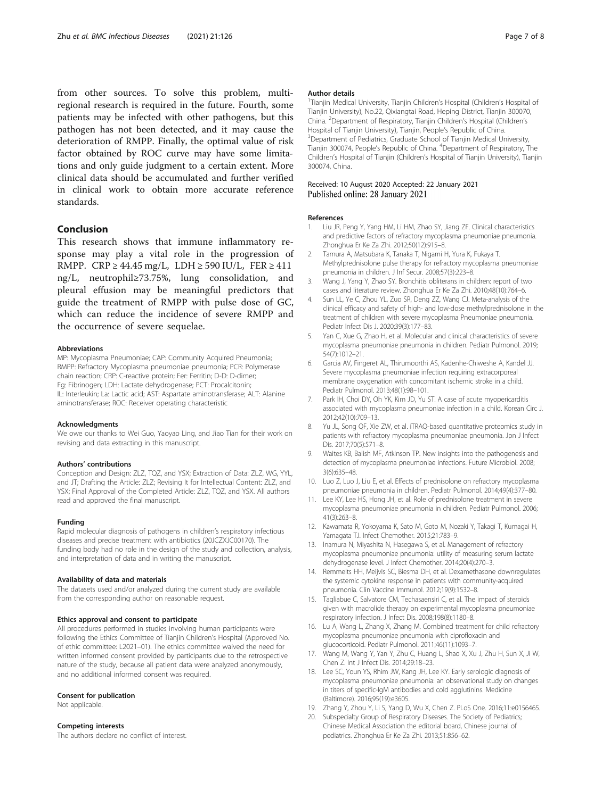<span id="page-6-0"></span>from other sources. To solve this problem, multiregional research is required in the future. Fourth, some patients may be infected with other pathogens, but this pathogen has not been detected, and it may cause the deterioration of RMPP. Finally, the optimal value of risk factor obtained by ROC curve may have some limitations and only guide judgment to a certain extent. More clinical data should be accumulated and further verified in clinical work to obtain more accurate reference standards.

# Conclusion

This research shows that immune inflammatory response may play a vital role in the progression of RMPP. CRP  $\geq$  44.45 mg/L, LDH  $\geq$  590 IU/L, FER  $\geq$  411 ng/L, neutrophil≥73.75%, lung consolidation, and pleural effusion may be meaningful predictors that guide the treatment of RMPP with pulse dose of GC, which can reduce the incidence of severe RMPP and the occurrence of severe sequelae.

#### Abbreviations

MP: Mycoplasma Pneumoniae; CAP: Community Acquired Pneumonia; RMPP: Refractory Mycoplasma pneumoniae pneumonia; PCR: Polymerase chain reaction; CRP: C-reactive protein; Fer: Ferritin; D-D: D-dimer; Fg: Fibrinogen; LDH: Lactate dehydrogenase; PCT: Procalcitonin; IL: Interleukin; La: Lactic acid; AST: Aspartate aminotransferase; ALT: Alanine aminotransferase; ROC: Receiver operating characteristic

#### Acknowledgments

We owe our thanks to Wei Guo, Yaoyao Ling, and Jiao Tian for their work on revising and data extracting in this manuscript.

#### Authors' contributions

Conception and Design: ZLZ, TQZ, and YSX; Extraction of Data: ZLZ, WG, YYL, and JT; Drafting the Article: ZLZ; Revising It for Intellectual Content: ZLZ, and YSX; Final Approval of the Completed Article: ZLZ, TQZ, and YSX. All authors read and approved the final manuscript.

#### Funding

Rapid molecular diagnosis of pathogens in children's respiratory infectious diseases and precise treatment with antibiotics (20JCZXJC00170). The funding body had no role in the design of the study and collection, analysis, and interpretation of data and in writing the manuscript.

#### Availability of data and materials

The datasets used and/or analyzed during the current study are available from the corresponding author on reasonable request.

# Ethics approval and consent to participate

All procedures performed in studies involving human participants were following the Ethics Committee of Tianjin Children's Hospital (Approved No. of ethic committee: L2021–01). The ethics committee waived the need for written informed consent provided by participants due to the retrospective nature of the study, because all patient data were analyzed anonymously, and no additional informed consent was required.

#### Consent for publication

Not applicable.

#### Competing interests

The authors declare no conflict of interest.

#### Author details

<sup>1</sup>Tianjin Medical University, Tianjin Children's Hospital (Children's Hospital of Tianjin University), No.22, Qixiangtai Road, Heping District, Tianjin 300070, China. <sup>2</sup> Department of Respiratory, Tianjin Children's Hospital (Children's Hospital of Tianjin University), Tianjin, People's Republic of China. <sup>3</sup> <sup>3</sup>Department of Pediatrics, Graduate School of Tianjin Medical University, Tianjin 300074, People's Republic of China. <sup>4</sup>Department of Respiratory, The Children's Hospital of Tianjin (Children's Hospital of Tianjin University), Tianjin 300074, China.

#### Received: 10 August 2020 Accepted: 22 January 2021 Published online: 28 January 2021

#### References

- 1. Liu JR, Peng Y, Yang HM, Li HM, Zhao SY, Jiang ZF. Clinical characteristics and predictive factors of refractory mycoplasma pneumoniae pneumonia. Zhonghua Er Ke Za Zhi. 2012;50(12):915–8.
- 2. Tamura A, Matsubara K, Tanaka T, Nigami H, Yura K, Fukaya T. Methylprednisolone pulse therapy for refractory mycoplasma pneumoniae pneumonia in children. J Inf Secur. 2008;57(3):223–8.
- 3. Wang J, Yang Y, Zhao SY. Bronchitis obliterans in children: report of two cases and literature review. Zhonghua Er Ke Za Zhi. 2010;48(10):764–6.
- 4. Sun LL, Ye C, Zhou YL, Zuo SR, Deng ZZ, Wang CJ. Meta-analysis of the clinical efficacy and safety of high- and low-dose methylprednisolone in the treatment of children with severe mycoplasma Pneumoniae pneumonia. Pediatr Infect Dis J. 2020;39(3):177–83.
- 5. Yan C, Xue G, Zhao H, et al. Molecular and clinical characteristics of severe mycoplasma pneumoniae pneumonia in children. Pediatr Pulmonol. 2019; 54(7):1012–21.
- 6. Garcia AV, Fingeret AL, Thirumoorthi AS, Kadenhe-Chiweshe A, Kandel JJ. Severe mycoplasma pneumoniae infection requiring extracorporeal membrane oxygenation with concomitant ischemic stroke in a child. Pediatr Pulmonol. 2013;48(1):98–101.
- 7. Park IH, Choi DY, Oh YK, Kim JD, Yu ST. A case of acute myopericarditis associated with mycoplasma pneumoniae infection in a child. Korean Circ J. 2012;42(10):709–13.
- 8. Yu JL, Song QF, Xie ZW, et al. iTRAQ-based quantitative proteomics studv in patients with refractory mycoplasma pneumoniae pneumonia. Jpn J Infect Dis. 2017;70(5):571–8.
- 9. Waites KB, Balish MF, Atkinson TP. New insights into the pathogenesis and detection of mycoplasma pneumoniae infections. Future Microbiol. 2008; 3(6):635–48.
- 10. Luo Z, Luo J, Liu E, et al. Effects of prednisolone on refractory mycoplasma pneumoniae pneumonia in children. Pediatr Pulmonol. 2014;49(4):377–80.
- 11. Lee KY, Lee HS, Hong JH, et al. Role of prednisolone treatment in severe mycoplasma pneumoniae pneumonia in children. Pediatr Pulmonol. 2006; 41(3):263–8.
- 12. Kawamata R, Yokoyama K, Sato M, Goto M, Nozaki Y, Takagi T, Kumagai H, Yamagata TJ. Infect Chemother. 2015;21:783–9.
- 13. Inamura N, Miyashita N, Hasegawa S, et al. Management of refractory mycoplasma pneumoniae pneumonia: utility of measuring serum lactate dehydrogenase level. J Infect Chemother. 2014;20(4):270–3.
- 14. Remmelts HH, Meijvis SC, Biesma DH, et al. Dexamethasone downregulates the systemic cytokine response in patients with community-acquired pneumonia. Clin Vaccine Immunol. 2012;19(9):1532–8.
- 15. Tagliabue C, Salvatore CM, Techasaensiri C, et al. The impact of steroids given with macrolide therapy on experimental mycoplasma pneumoniae respiratory infection. J Infect Dis. 2008;198(8):1180–8.
- 16. Lu A, Wang L, Zhang X, Zhang M. Combined treatment for child refractory mycoplasma pneumoniae pneumonia with ciprofloxacin and glucocorticoid. Pediatr Pulmonol. 2011;46(11):1093–7.
- 17. Wang M, Wang Y, Yan Y, Zhu C, Huang L, Shao X, Xu J, Zhu H, Sun X, Ji W, Chen Z. Int J Infect Dis. 2014;29:18–23.
- 18. Lee SC, Youn YS, Rhim JW, Kang JH, Lee KY. Early serologic diagnosis of mycoplasma pneumoniae pneumonia: an observational study on changes in titers of specific-IgM antibodies and cold agglutinins. Medicine (Baltimore). 2016;95(19):e3605.
- 19. Zhang Y, Zhou Y, Li S, Yang D, Wu X, Chen Z. PLoS One. 2016;11:e0156465.
- 20. Subspecialty Group of Respiratory Diseases. The Society of Pediatrics; Chinese Medical Association the editorial board, Chinese journal of pediatrics. Zhonghua Er Ke Za Zhi. 2013;51:856–62.